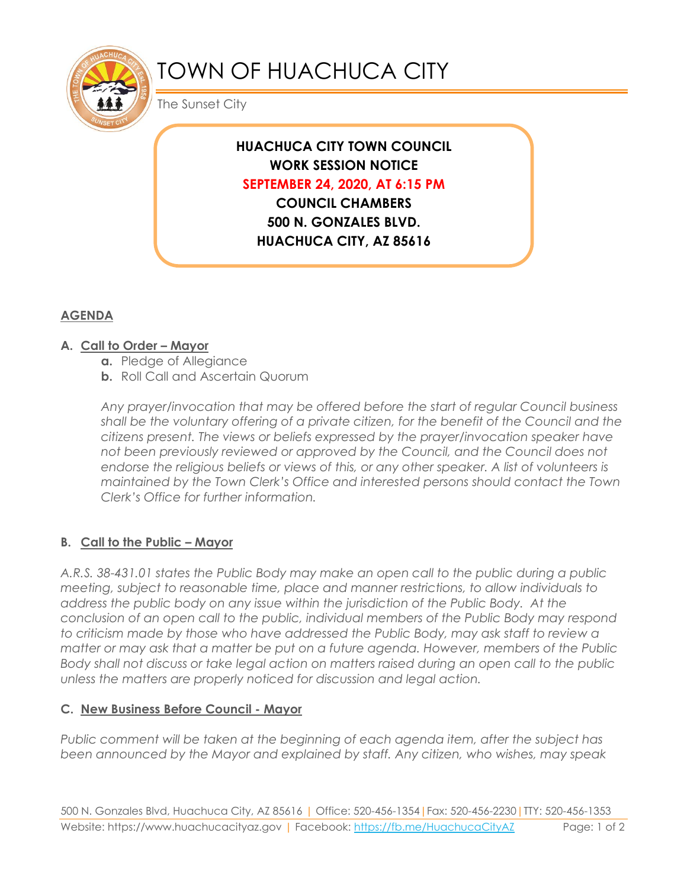

# TOWN OF HUACHUCA CITY

The Sunset City

# **HUACHUCA CITY TOWN COUNCIL WORK SESSION NOTICE SEPTEMBER 24, 2020, AT 6:15 PM COUNCIL CHAMBERS**

**500 N. GONZALES BLVD. HUACHUCA CITY, AZ 85616**

## **AGENDA**

### **A. Call to Order – Mayor**

- **a.** Pledge of Allegiance
- **b.** Roll Call and Ascertain Quorum

*Any prayer/invocation that may be offered before the start of regular Council business shall be the voluntary offering of a private citizen, for the benefit of the Council and the citizens present. The views or beliefs expressed by the prayer/invocation speaker have not been previously reviewed or approved by the Council, and the Council does not endorse the religious beliefs or views of this, or any other speaker. A list of volunteers is maintained by the Town Clerk's Office and interested persons should contact the Town Clerk's Office for further information.*

### **B. Call to the Public – Mayor**

*A.R.S. 38-431.01 states the Public Body may make an open call to the public during a public meeting, subject to reasonable time, place and manner restrictions, to allow individuals to address the public body on any issue within the jurisdiction of the Public Body. At the conclusion of an open call to the public, individual members of the Public Body may respond to criticism made by those who have addressed the Public Body, may ask staff to review a matter or may ask that a matter be put on a future agenda. However, members of the Public Body shall not discuss or take legal action on matters raised during an open call to the public unless the matters are properly noticed for discussion and legal action.*

#### **C. New Business Before Council - Mayor**

*Public comment will be taken at the beginning of each agenda item, after the subject has been announced by the Mayor and explained by staff. Any citizen, who wishes, may speak*